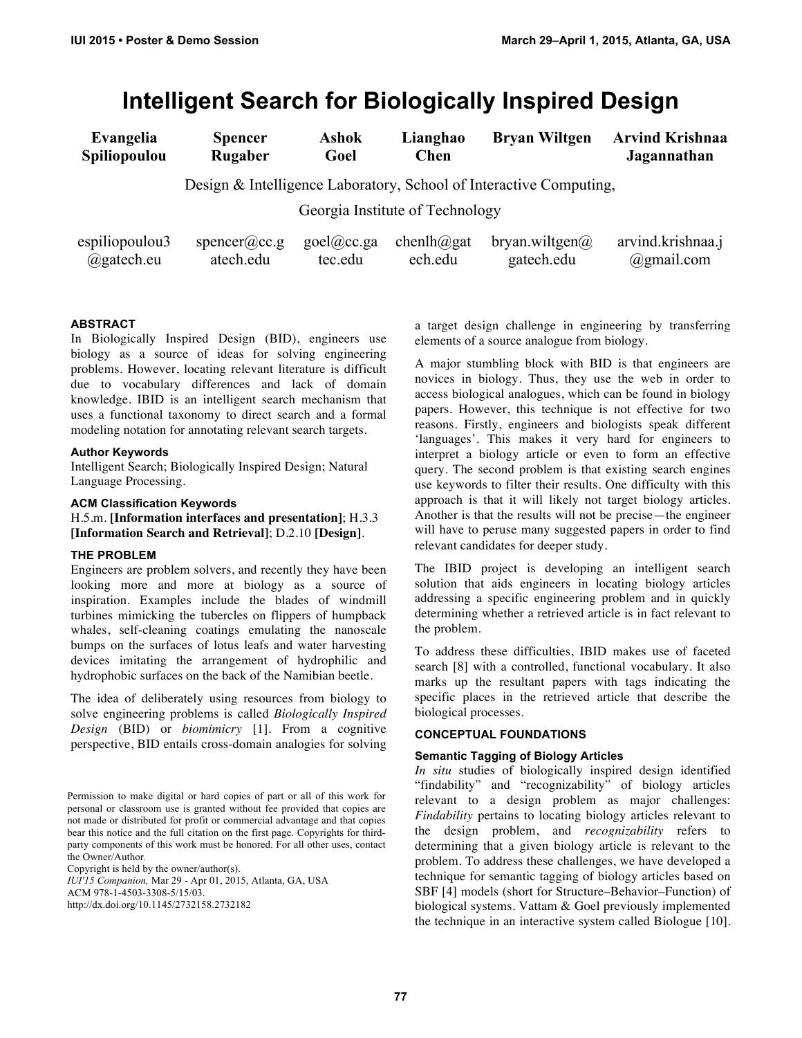# **Intelligent Search for Biologically Inspired Design**

| Evangelia      | <b>Spencer</b>                                                     | <b>Ashok</b>                 | Lianghao    | <b>Bryan Wiltgen</b> | <b>Arvind Krishnaa</b> |  |
|----------------|--------------------------------------------------------------------|------------------------------|-------------|----------------------|------------------------|--|
| Spiliopoulou   | Rugaber                                                            | Goel                         | <b>Chen</b> |                      | Jagannathan            |  |
|                | Design & Intelligence Laboratory, School of Interactive Computing, |                              |             |                      |                        |  |
|                | Georgia Institute of Technology                                    |                              |             |                      |                        |  |
| espiliopoulou3 | spencer $(a)$ cc.g                                                 | $\text{goel}(\hat{a})$ cc.ga | chenlh@gat  | bryan.wiltgen $(a)$  | arvind.krishnaa.j      |  |
| @gatech.eu     | atech.edu                                                          | tec.edu                      | ech.edu     | gatech.edu           | $(a)$ gmail.com        |  |

# **ABSTRACT**

In Biologically Inspired Design (BID), engineers use biology as a source of ideas for solving engineering problems. However, locating relevant literature is difficult due to vocabulary differences and lack of domain knowledge. IBID is an intelligent search mechanism that uses a functional taxonomy to direct search and a formal modeling notation for annotating relevant search targets.

# **Author Keywords**

Intelligent Search; Biologically Inspired Design; Natural Language Processing.

# **ACM Classification Keywords**

H.5.m. **[Information interfaces and presentation]**; H.3.3 **[Information Search and Retrieval]**; D.2.10 **[Design]**.

# **THE PROBLEM**

Engineers are problem solvers, and recently they have been looking more and more at biology as a source of inspiration. Examples include the blades of windmill turbines mimicking the tubercles on flippers of humpback whales, self-cleaning coatings emulating the nanoscale bumps on the surfaces of lotus leafs and water harvesting devices imitating the arrangement of hydrophilic and hydrophobic surfaces on the back of the Namibian beetle.

The idea of deliberately using resources from biology to solve engineering problems is called *Biologically Inspired Design* (BID) or *biomimicry* [1]. From a cognitive perspective, BID entails cross-domain analogies for solving

Copyright is held by the owner/author(s).

*IUI'15 Companion,* Mar 29 - Apr 01, 2015, Atlanta, GA, USA ACM 978-1-4503-3308-5/15/03. http://dx.doi.org/10.1145/2732158.2732182

a target design challenge in engineering by transferring elements of a source analogue from biology.

A major stumbling block with BID is that engineers are novices in biology. Thus, they use the web in order to access biological analogues, which can be found in biology papers. However, this technique is not effective for two reasons. Firstly, engineers and biologists speak different 'languages'. This makes it very hard for engineers to interpret a biology article or even to form an effective query. The second problem is that existing search engines use keywords to filter their results. One difficulty with this approach is that it will likely not target biology articles. Another is that the results will not be precise—the engineer will have to peruse many suggested papers in order to find relevant candidates for deeper study.

The IBID project is developing an intelligent search solution that aids engineers in locating biology articles addressing a specific engineering problem and in quickly determining whether a retrieved article is in fact relevant to the problem.

To address these difficulties, IBID makes use of faceted search [8] with a controlled, functional vocabulary. It also marks up the resultant papers with tags indicating the specific places in the retrieved article that describe the biological processes.

# **CONCEPTUAL FOUNDATIONS**

# **Semantic Tagging of Biology Articles**

*In situ* studies of biologically inspired design identified "findability" and "recognizability" of biology articles relevant to a design problem as major challenges: *Findability* pertains to locating biology articles relevant to the design problem, and *recognizability* refers to determining that a given biology article is relevant to the problem. To address these challenges, we have developed a technique for semantic tagging of biology articles based on SBF [4] models (short for Structure–Behavior–Function) of biological systems. Vattam & Goel previously implemented the technique in an interactive system called Biologue [10].

Permission to make digital or hard copies of part or all of this work for personal or classroom use is granted without fee provided that copies are not made or distributed for profit or commercial advantage and that copies bear this notice and the full citation on the first page. Copyrights for thirdparty components of this work must be honored. For all other uses, contact the Owner/Author*.*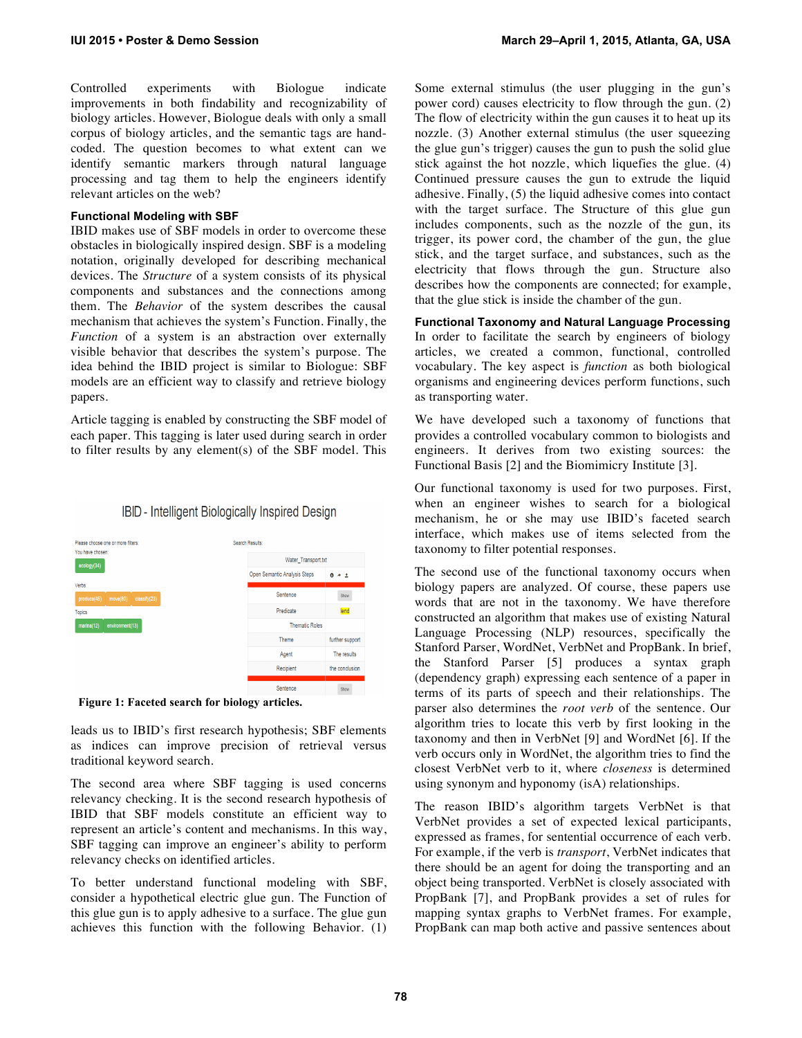Controlled experiments with Biologue indicate improvements in both findability and recognizability of biology articles. However, Biologue deals with only a small corpus of biology articles, and the semantic tags are handcoded. The question becomes to what extent can we identify semantic markers through natural language processing and tag them to help the engineers identify relevant articles on the web?

#### **Functional Modeling with SBF**

IBID makes use of SBF models in order to overcome these obstacles in biologically inspired design. SBF is a modeling notation, originally developed for describing mechanical devices. The *Structure* of a system consists of its physical components and substances and the connections among them. The *Behavior* of the system describes the causal mechanism that achieves the system's Function. Finally, the *Function* of a system is an abstraction over externally visible behavior that describes the system's purpose. The idea behind the IBID project is similar to Biologue: SBF models are an efficient way to classify and retrieve biology papers.

Article tagging is enabled by constructing the SBF model of each paper. This tagging is later used during search in order to filter results by any element(s) of the SBF model. This



# IBID - Intelligent Biologically Inspired Design

#### **Figure 1: Faceted search for biology articles.**

leads us to IBID's first research hypothesis; SBF elements as indices can improve precision of retrieval versus traditional keyword search.

The second area where SBF tagging is used concerns relevancy checking. It is the second research hypothesis of IBID that SBF models constitute an efficient way to represent an article's content and mechanisms. In this way, SBF tagging can improve an engineer's ability to perform relevancy checks on identified articles.

To better understand functional modeling with SBF, consider a hypothetical electric glue gun. The Function of this glue gun is to apply adhesive to a surface. The glue gun achieves this function with the following Behavior. (1)

Some external stimulus (the user plugging in the gun's power cord) causes electricity to flow through the gun. (2) The flow of electricity within the gun causes it to heat up its nozzle. (3) Another external stimulus (the user squeezing the glue gun's trigger) causes the gun to push the solid glue stick against the hot nozzle, which liquefies the glue. (4) Continued pressure causes the gun to extrude the liquid adhesive. Finally, (5) the liquid adhesive comes into contact with the target surface. The Structure of this glue gun includes components, such as the nozzle of the gun, its trigger, its power cord, the chamber of the gun, the glue stick, and the target surface, and substances, such as the electricity that flows through the gun. Structure also describes how the components are connected; for example, that the glue stick is inside the chamber of the gun.

**Functional Taxonomy and Natural Language Processing** In order to facilitate the search by engineers of biology articles, we created a common, functional, controlled vocabulary. The key aspect is *function* as both biological organisms and engineering devices perform functions, such as transporting water.

We have developed such a taxonomy of functions that provides a controlled vocabulary common to biologists and engineers. It derives from two existing sources: the Functional Basis [2] and the Biomimicry Institute [3].

Our functional taxonomy is used for two purposes. First, when an engineer wishes to search for a biological mechanism, he or she may use IBID's faceted search interface, which makes use of items selected from the taxonomy to filter potential responses.

The second use of the functional taxonomy occurs when biology papers are analyzed. Of course, these papers use words that are not in the taxonomy. We have therefore constructed an algorithm that makes use of existing Natural Language Processing (NLP) resources, specifically the Stanford Parser, WordNet, VerbNet and PropBank. In brief, the Stanford Parser [5] produces a syntax graph (dependency graph) expressing each sentence of a paper in terms of its parts of speech and their relationships. The parser also determines the *root verb* of the sentence. Our algorithm tries to locate this verb by first looking in the taxonomy and then in VerbNet [9] and WordNet [6]. If the verb occurs only in WordNet, the algorithm tries to find the closest VerbNet verb to it, where *closeness* is determined using synonym and hyponomy (isA) relationships.

The reason IBID's algorithm targets VerbNet is that VerbNet provides a set of expected lexical participants, expressed as frames, for sentential occurrence of each verb. For example, if the verb is *transport*, VerbNet indicates that there should be an agent for doing the transporting and an object being transported. VerbNet is closely associated with PropBank [7], and PropBank provides a set of rules for mapping syntax graphs to VerbNet frames. For example, PropBank can map both active and passive sentences about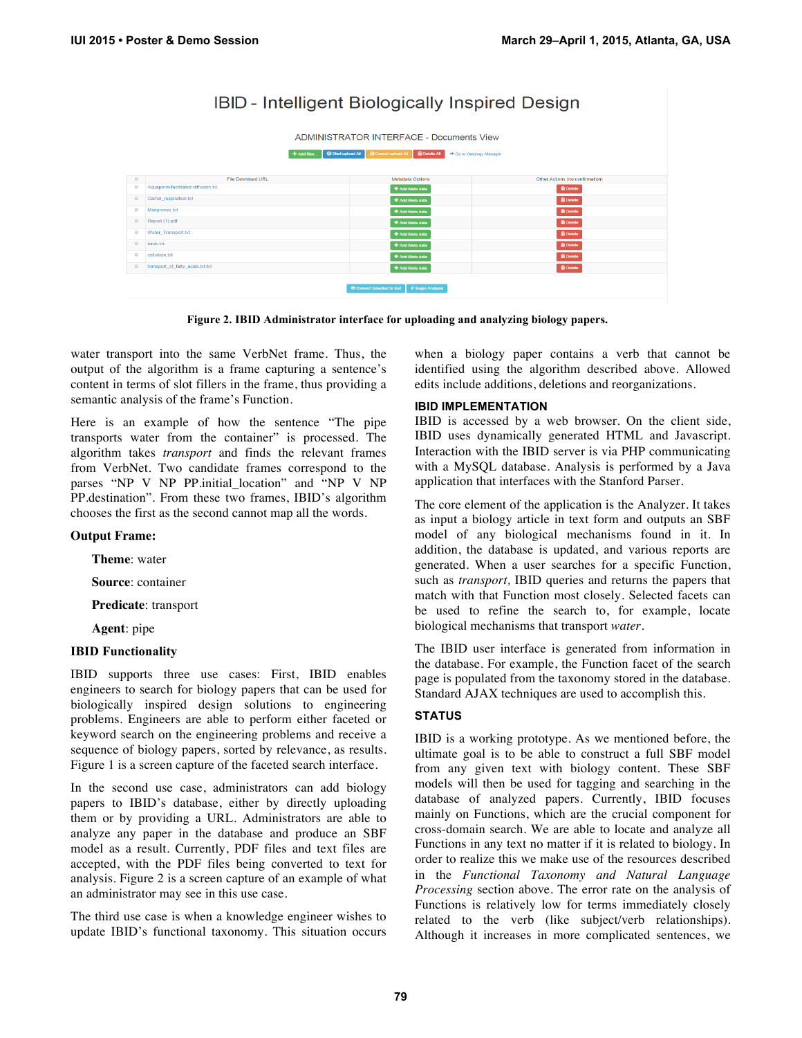# **IBID - Intelligent Biologically Inspired Design**

| ADMINISTRATOR INTERFACE - Documents View                                                             |                                     |                  |                                 |  |  |  |
|------------------------------------------------------------------------------------------------------|-------------------------------------|------------------|---------------------------------|--|--|--|
| Cancel upload All <b>in Delete All</b><br>Start upload All<br>+ Add files.<br>So to Ontology Manager |                                     |                  |                                 |  |  |  |
|                                                                                                      |                                     |                  |                                 |  |  |  |
| $\qquad \qquad \Box$                                                                                 | File Download URL                   | Metadata Options | Other Actions (no confirmation) |  |  |  |
| $\qquad \qquad \qquad \qquad \qquad \qquad$                                                          | Aquaporin-facilitated-diffusion.txt | + Add Meta data  | <b>in</b> Delete                |  |  |  |
| $\Box$                                                                                               | Camel_respiration.txt               | + Add Meta data  | <b>in</b> Delete                |  |  |  |
| $\qquad \qquad \qquad \qquad \qquad \qquad$                                                          | Mangroves.txt                       | + Add Meta data  | <b>in</b> Delete                |  |  |  |
| $\qquad \qquad \qquad \qquad \qquad \qquad$                                                          | Report (1).pdf                      | + Add Meta data  | <b>in</b> Delete                |  |  |  |
| $\qquad \qquad \qquad \qquad \qquad \qquad$                                                          | Water_Transport.bt                  | + Add Meta data  | <b>in Delete</b>                |  |  |  |
| $\qquad \qquad \qquad \qquad \qquad \qquad$                                                          | birds.txt                           | + Add Meta data  | <b>in</b> Delete                |  |  |  |
| $\qquad \qquad \qquad \qquad \qquad \qquad$                                                          | cellulose.txt                       | + Add Meta data  | <b>in</b> Delete                |  |  |  |
| $\qquad \qquad \qquad \qquad \qquad \qquad$                                                          | transport_of_fatty_acids.txt.txt    | + Add Meta data  | $\widehat{\mathbf{m}}$ Delete   |  |  |  |
|                                                                                                      |                                     |                  |                                 |  |  |  |
| Convert Selected to text<br>← Begin Analysis                                                         |                                     |                  |                                 |  |  |  |
|                                                                                                      |                                     |                  |                                 |  |  |  |

**Figure 2. IBID Administrator interface for uploading and analyzing biology papers.**

water transport into the same VerbNet frame. Thus, the output of the algorithm is a frame capturing a sentence's content in terms of slot fillers in the frame, thus providing a semantic analysis of the frame's Function.

Here is an example of how the sentence "The pipe transports water from the container" is processed. The algorithm takes *transport* and finds the relevant frames from VerbNet. Two candidate frames correspond to the parses "NP V NP PP.initial\_location" and "NP V NP PP.destination". From these two frames, IBID's algorithm chooses the first as the second cannot map all the words.

#### **Output Frame:**

**Theme**: water

**Source**: container

**Predicate**: transport

**Agent**: pipe

#### **IBID Functionality**

IBID supports three use cases: First, IBID enables engineers to search for biology papers that can be used for biologically inspired design solutions to engineering problems. Engineers are able to perform either faceted or keyword search on the engineering problems and receive a sequence of biology papers, sorted by relevance, as results. Figure 1 is a screen capture of the faceted search interface.

In the second use case, administrators can add biology papers to IBID's database, either by directly uploading them or by providing a URL. Administrators are able to analyze any paper in the database and produce an SBF model as a result. Currently, PDF files and text files are accepted, with the PDF files being converted to text for analysis. Figure 2 is a screen capture of an example of what an administrator may see in this use case.

The third use case is when a knowledge engineer wishes to update IBID's functional taxonomy. This situation occurs when a biology paper contains a verb that cannot be identified using the algorithm described above. Allowed edits include additions, deletions and reorganizations.

# **IBID IMPLEMENTATION**

IBID is accessed by a web browser. On the client side, IBID uses dynamically generated HTML and Javascript. Interaction with the IBID server is via PHP communicating with a MySQL database. Analysis is performed by a Java application that interfaces with the Stanford Parser.

The core element of the application is the Analyzer. It takes as input a biology article in text form and outputs an SBF model of any biological mechanisms found in it. In addition, the database is updated, and various reports are generated. When a user searches for a specific Function, such as *transport,* IBID queries and returns the papers that match with that Function most closely. Selected facets can be used to refine the search to, for example, locate biological mechanisms that transport *water*.

The IBID user interface is generated from information in the database. For example, the Function facet of the search page is populated from the taxonomy stored in the database. Standard AJAX techniques are used to accomplish this.

#### **STATUS**

IBID is a working prototype. As we mentioned before, the ultimate goal is to be able to construct a full SBF model from any given text with biology content. These SBF models will then be used for tagging and searching in the database of analyzed papers. Currently, IBID focuses mainly on Functions, which are the crucial component for cross-domain search. We are able to locate and analyze all Functions in any text no matter if it is related to biology. In order to realize this we make use of the resources described in the *Functional Taxonomy and Natural Language Processing* section above. The error rate on the analysis of Functions is relatively low for terms immediately closely related to the verb (like subject/verb relationships). Although it increases in more complicated sentences, we